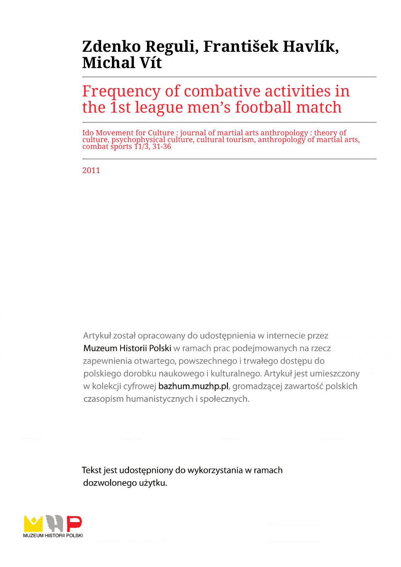# **Zdenko Reguli, František Havlík, Michal Vít**

# Frequency of combative activities in the 1st league men's football match

Ido Movement for Culture : journal of martial arts anthropology : theory of culture, psychophysical culture, cultural tourism, anthropology of martial arts, combat sports 11/3, 31-36

2011

Artykuł został opracowany do udostepnienia w internecie przez Muzeum Historii Polski w ramach prac podejmowanych na rzecz zapewnienia otwartego, powszechnego i trwałego dostępu do polskiego dorobku naukowego i kulturalnego. Artykuł jest umieszczony w kolekcji cyfrowej bazhum.muzhp.pl, gromadzącej zawartość polskich czasopism humanistycznych i społecznych.

Tekst jest udostępniony do wykorzystania w ramach dozwolonego użytku.

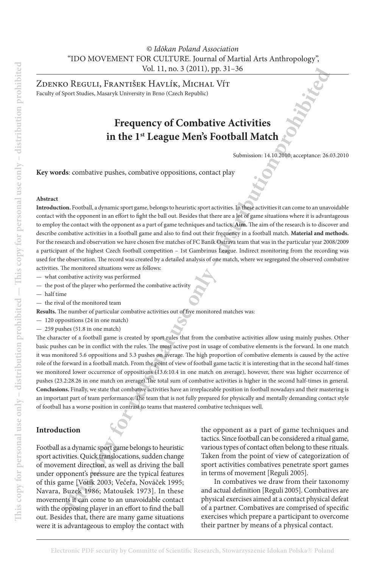## *© Idōkan Poland Association* "IDO MOVEMENT FOR CULTURE. Journal of Martial Arts Anthropology", Vol. 11, no. 3 (2011), pp. 31–36

Zdenko Reguli, FrantiŠek Havlík, Michal Vít Faculty of Sport Studies, Masaryk University in Brno (Czech Republic)

# **Frequency of Combative Activities in the 1st League Men's Football Match**

Submission: 14.10.2010; acceptance: 26.03.2010

**Key words**: combative pushes, combative oppositions, contact play

#### **Abstract**

**Introduction.** Football, a dynamic sport game, belongs to heuristic sport activities. In these activities it can come to an unavoidable contact with the opponent in an effort to fight the ball out. Besides that there are a lot of game situations where it is advantageous to employ the contact with the opponent as a part of game techniques and tactics. **Aim.** The aim of the research is to discover and describe combative activities in a football game and also to find out their frequency in a football match. **Material and methods.**  For the research and observation we have chosen five matches of FC Baník Ostrava team that was in the particular year 2008/2009 a participant of the highest Czech football competition – 1st Gambrinus League. Indirect monitoring from the recording was used for the observation. The record was created by a detailed analysis of one match, where we segregated the observed combative activities. The monitored situations were as follows:

- what combative activity was performed
- the post of the player who performed the combative activity
- half time
- the rival of the monitored team

**Results.** The number of particular combative activities out of five monitored matches was:

- 120 oppositions (24 in one match)
- 259 pushes (51.8 in one match)

Vol. 11, ma. 3 (2011), pp. 31-36<br>
O RIVGULI, FRANTISEK HAVILIK, MICHAILM, MICHAILM, MICHAILM, MICHAILM, MICHAILM, MICHAILM, MICHAILM, MICHAILM, MICHAILM, MICHAILM, ASSEMENTING STRIBUTED IN THE CONDUCT CONDUCT CONDUCT COND The character of a football game is created by sport rules that from the combative activities allow using mainly pushes. Other basic pushes can be in conflict with the rules. The most active post in usage of combative elements is the forward. In one match it was monitored 5.6 oppositions and 5.3 pushes on average. The high proportion of combative elements is caused by the active role of the forward in a football match. From the point of view of football game tactic it is interesting that in the second half-times we monitored lower occurrence of oppositions (13.6:10.4 in one match on average), however, there was higher occurrence of pushes (23.2:28.26 in one match on average).The total sum of combative activities is higher in the second half-times in general. **Conclusions.** Finally, we state that combative activities have an irreplaceable position in football nowadays and their mastering is an important part of team performance. The team that is not fully prepared for physically and mentally demanding contact style of football has a worse position in contrast to teams that mastered combative techniques well.

### **Introduction**

Football as a dynamic sport game belongs to heuristic sport activities. Quick translocations, sudden change of movement direction, as well as driving the ball under opponent's pressure are the typical features of this game [Votík 2003; Večeřa, Nováček 1995; Navara, Buzek 1986; Matoušek 1973]. In these movements it can come to an unavoidable contact with the opposing player in an effort to find the ball out. Besides that, there are many game situations were it is advantageous to employ the contact with

the opponent as a part of game techniques and tactics. Since football can be considered a ritual game, various types of contact often belong to these rituals. Taken from the point of view of categorization of sport activities combatives penetrate sport games in terms of movement [Reguli 2005].

In combatives we draw from their taxonomy and actual definition [Reguli 2005]. Combatives are physical exercises aimed at a contact physical defeat of a partner. Combatives are comprised of specific exercises which prepare a participant to overcome their partner by means of a physical contact.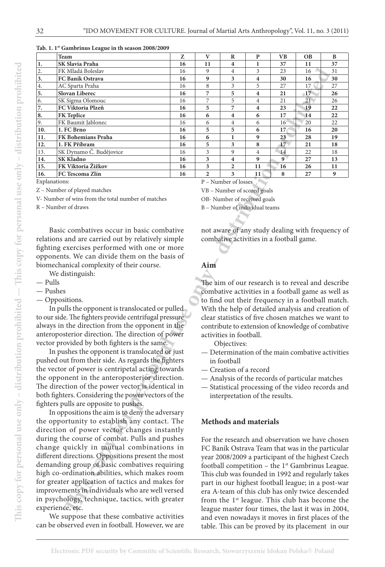| Tab. 1. 1st Gambrinus League in th season 2008/2009 |  |
|-----------------------------------------------------|--|
|-----------------------------------------------------|--|

|                                                    | <b>Team</b>                                            | Z        | $\mathbf{V}$                                                                                           | $\bf R$                                                                                                 | ${\bf P}$           | <b>VB</b>                                | <b>OB</b> | B                                                         |
|----------------------------------------------------|--------------------------------------------------------|----------|--------------------------------------------------------------------------------------------------------|---------------------------------------------------------------------------------------------------------|---------------------|------------------------------------------|-----------|-----------------------------------------------------------|
| $1.$                                               | SK Slavia Praha                                        | 16       | 11                                                                                                     | 4                                                                                                       | 1                   | 37                                       | 11        | 37                                                        |
| $\overline{2}$ .                                   | FK Mladá Boleslav                                      | 16       | 9                                                                                                      | 4                                                                                                       | 3                   | 23                                       | 16        | 31                                                        |
| 3.                                                 | FC Baník Ostrava                                       | 16       | 9                                                                                                      | 3                                                                                                       | $\boldsymbol{4}$    | 30                                       | 16        | 30                                                        |
| 4.                                                 | AC Sparta Praha                                        | 16       | 8                                                                                                      | 3                                                                                                       | 5                   | 27                                       | 17        | $27\,$                                                    |
| 5.                                                 | Slovan Liberec                                         | 16       | 7                                                                                                      | 5                                                                                                       | $\boldsymbol{4}$    | 21                                       | $-17$     | 26                                                        |
| 6.<br>7.                                           | SK Sigma Olomouc<br>FC Viktoria Plzeň                  | 16<br>16 | 7<br>5                                                                                                 | 5<br>7                                                                                                  | $\overline{4}$<br>4 | 21<br>23                                 | 21<br>19  | 26<br>22                                                  |
| 8.                                                 | <b>FK Teplice</b>                                      | 16       | 6                                                                                                      | 4                                                                                                       | 6                   | 17                                       | 14        | 22                                                        |
| 9.                                                 | FK Baumit Jablonec                                     | 16       | 6                                                                                                      | $\overline{4}$                                                                                          | 6                   | 16'                                      | 20        | 22                                                        |
| 10.                                                | 1. FC Brno                                             | 16       | 5                                                                                                      | 5                                                                                                       | 6                   | 17                                       | 16        | 20                                                        |
| 11.                                                | FK Bohemians Praha                                     | 16       | 6                                                                                                      | 1                                                                                                       | 9                   | 23                                       | 28        | 19                                                        |
| 12.                                                | 1. FK Příbram                                          | 16       | 5                                                                                                      | 3                                                                                                       | 8                   | 17 <sub>2</sub>                          | 21        | 18                                                        |
| 13.                                                | SK Dynamo Č. Budějovice                                | 16       | 3                                                                                                      | 9                                                                                                       | $\overline{4}$      | 14                                       | 22        | 18                                                        |
| 14.                                                | <b>SK Kladno</b>                                       | 16       | 3                                                                                                      | $\overline{\mathbf{4}}$                                                                                 | 9                   | 9 <sup>7</sup>                           | 27        | 13                                                        |
| 15.                                                | FK Viktoria Žižkov                                     | 16       | 3                                                                                                      | 2                                                                                                       | 11                  | 16                                       | 26        | 11                                                        |
| 16.                                                | FC Tescoma Zlín                                        | 16       | $\overline{2}$                                                                                         | 3                                                                                                       | 11                  | 8                                        | 27        | 9                                                         |
| Explanations:                                      |                                                        |          |                                                                                                        | P - Number of losses                                                                                    |                     |                                          |           |                                                           |
|                                                    | Z - Number of played matches                           |          |                                                                                                        | VB - Number of scored goals                                                                             |                     |                                          |           |                                                           |
|                                                    | V- Number of wins from the total number of matches     |          |                                                                                                        | OB- Number of received goals                                                                            |                     |                                          |           |                                                           |
|                                                    | R - Number of draws                                    |          |                                                                                                        | B - Number of individual teams                                                                          |                     |                                          |           |                                                           |
|                                                    |                                                        |          |                                                                                                        |                                                                                                         |                     |                                          |           |                                                           |
|                                                    |                                                        |          |                                                                                                        |                                                                                                         |                     |                                          |           |                                                           |
|                                                    | Basic combatives occur in basic combative              |          |                                                                                                        |                                                                                                         |                     |                                          |           | not aware of any study dealing with frequency of          |
|                                                    | relations and are carried out by relatively simple     |          |                                                                                                        |                                                                                                         |                     | combative activities in a football game. |           |                                                           |
|                                                    | fighting exercises performed with one or more          |          |                                                                                                        |                                                                                                         |                     |                                          |           |                                                           |
|                                                    | opponents. We can divide them on the basis of          |          |                                                                                                        |                                                                                                         |                     |                                          |           |                                                           |
|                                                    | biomechanical complexity of their course.              |          | Aim                                                                                                    |                                                                                                         |                     |                                          |           |                                                           |
|                                                    | We distinguish:                                        |          |                                                                                                        |                                                                                                         |                     |                                          |           |                                                           |
| — Pulls                                            |                                                        |          |                                                                                                        |                                                                                                         |                     |                                          |           | The aim of our research is to reveal and describe         |
| - Pushes                                           |                                                        |          |                                                                                                        |                                                                                                         |                     |                                          |           | combative activities in a football game as well as        |
|                                                    | - Oppositions.                                         |          |                                                                                                        |                                                                                                         |                     |                                          |           |                                                           |
|                                                    | In pulls the opponent is translocated or pulled        |          | to find out their frequency in a football match.<br>With the help of detailed analysis and creation of |                                                                                                         |                     |                                          |           |                                                           |
|                                                    | to our side. The fighters provide centrifugal pressure |          |                                                                                                        |                                                                                                         |                     |                                          |           |                                                           |
|                                                    | always in the direction from the opponent in the       |          |                                                                                                        | clear statistics of five chosen matches we want to<br>contribute to extension of knowledge of combative |                     |                                          |           |                                                           |
|                                                    |                                                        |          |                                                                                                        | activities in football.                                                                                 |                     |                                          |           |                                                           |
|                                                    | anteroposterior direction. The direction of power      |          |                                                                                                        |                                                                                                         |                     |                                          |           |                                                           |
|                                                    | vector provided by both fighters is the same.          |          |                                                                                                        | Objectives:                                                                                             |                     |                                          |           |                                                           |
|                                                    | In pushes the opponent is translocated or just         |          |                                                                                                        | - Determination of the main combative activities                                                        |                     |                                          |           |                                                           |
|                                                    | pushed out from their side. As regards the fighters    |          | in football                                                                                            |                                                                                                         |                     |                                          |           |                                                           |
|                                                    | the vector of power is centripetal acting towards      |          | - Creation of a record                                                                                 |                                                                                                         |                     |                                          |           |                                                           |
|                                                    | the opponent in the anteroposterior direction.         |          |                                                                                                        | - Analysis of the records of particular matches                                                         |                     |                                          |           |                                                           |
|                                                    | The direction of the power vector is identical in      |          |                                                                                                        | - Statistical processing of the video records and                                                       |                     |                                          |           |                                                           |
|                                                    | both fighters. Considering the power vectors of the    |          |                                                                                                        | interpretation of the results.                                                                          |                     |                                          |           |                                                           |
|                                                    | fighters pulls are opposite to pushes.                 |          |                                                                                                        |                                                                                                         |                     |                                          |           |                                                           |
|                                                    | In oppositions the aim is to deny the adversary        |          |                                                                                                        |                                                                                                         |                     |                                          |           |                                                           |
|                                                    | the opportunity to establish any contact. The          |          |                                                                                                        | <b>Methods and materials</b>                                                                            |                     |                                          |           |                                                           |
|                                                    | direction of power vector changes instantly            |          |                                                                                                        |                                                                                                         |                     |                                          |           |                                                           |
|                                                    |                                                        |          |                                                                                                        |                                                                                                         |                     |                                          |           |                                                           |
| during the course of combat. Pulls and pushes      |                                                        |          | For the research and observation we have chosen                                                        |                                                                                                         |                     |                                          |           |                                                           |
| change quickly in mutual combinations in           |                                                        |          | FC Baník Ostrava Team that was in the particular                                                       |                                                                                                         |                     |                                          |           |                                                           |
| different directions. Oppositions present the most |                                                        |          | year 2008/2009 a participant of the highest Czech                                                      |                                                                                                         |                     |                                          |           |                                                           |
| demanding group of basic combatives requiring      |                                                        |          | football competition - the 1 <sup>st</sup> Gambrinus League.                                           |                                                                                                         |                     |                                          |           |                                                           |
| high co-ordination abilities, which makes room     |                                                        |          | This club was founded in 1992 and regularly takes                                                      |                                                                                                         |                     |                                          |           |                                                           |
| for greater application of tactics and makes for   |                                                        |          |                                                                                                        |                                                                                                         |                     |                                          |           | part in our highest football league; in a post-war        |
| improvements in individuals who are well versed    |                                                        |          |                                                                                                        | era A-team of this club has only twice descended                                                        |                     |                                          |           |                                                           |
| in psychology, technique, tactics, with greater    |                                                        |          |                                                                                                        |                                                                                                         |                     |                                          |           | from the 1 <sup>st</sup> league. This club has become the |
| experience, etc.                                   |                                                        |          |                                                                                                        |                                                                                                         |                     |                                          |           | league master four times, the last it was in 2004,        |
|                                                    |                                                        |          |                                                                                                        |                                                                                                         |                     |                                          |           |                                                           |

- Pulls
- Pushes
- Oppositions.

We suppose that these combative activities can be observed even in football. However, we are

### **Aim**

- Determination of the main combative activities in football
- Creation of a record
- Analysis of the records of particular matches
- Statistical processing of the video records and interpretation of the results.

#### **Methods and materials**

For the research and observation we have chosen FC Baník Ostrava Team that was in the particular year 2008/2009 a participant of the highest Czech football competition – the  $1<sup>st</sup>$  Gambrinus League. This club was founded in 1992 and regularly takes part in our highest football league; in a post-war era A-team of this club has only twice descended from the  $1<sup>st</sup>$  league. This club has become the league master four times, the last it was in 2004, and even nowadays it moves in first places of the table. This can be proved by its placement in our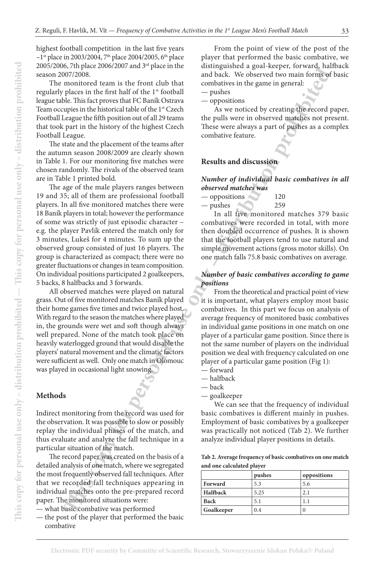highest football competition in the last five years  $-1$ <sup>st</sup> place in 2003/2004, 7<sup>th</sup> place 2004/2005, 6<sup>th</sup> place 2005/2006, 7th place 2006/2007 and 3rd place in the season 2007/2008.

The monitored team is the front club that regularly places in the first half of the 1<sup>st</sup> football league table. This fact proves that FC Baník Ostrava Team occupies in the historical table of the 1<sup>st</sup> Czech Football League the fifth position out of all 29 teams that took part in the history of the highest Czech Football League.

The state and the placement of the teams after the autumn season 2008/2009 are clearly shown in Table 1. For our monitoring five matches were chosen randomly. The rivals of the observed team are in Table 1 printed bold.

**The matrix of the first term is the front of the matrix of the space of the space of the personal use of the front of the Front of the Front of the Front of the Front of the Front of the Front of the Front of the Front o** The age of the male players ranges between 19 and 35; all of them are professional football players. In all five monitored matches there were 18 Baník players in total; however the performance of some was strictly of just episodic character – e.g. the player Pavlík entered the match only for 3 minutes, Lukeš for 4 minutes. To sum up the observed group consisted of just 16 players. The group is characterized as compact; there were no greater fluctuations or changes in team composition. On individual positions participated 2 goalkeepers, 5 backs, 8 halfbacks and 3 forwards.

All observed matches were played on natural grass. Out of five monitored matches Baník played their home games five times and twice played host. With regard to the season the matches where played in, the grounds were wet and soft though always well prepared. None of the match took place on heavily waterlogged ground that would disable the players' natural movement and the climatic factors were sufficient as well. Only one match in Olomouc was played in occasional light snowing.

# **Methods**

Indirect monitoring from the record was used for the observation. It was possible to slow or possibly replay the individual phases of the match, and thus evaluate and analyze the fall technique in a particular situation of the match.

The record paper was created on the basis of a detailed analysis of one match, where we segregated the most frequently observed fall techniques. After that we recorded fall techniques appearing in individual matches onto the pre-prepared record paper. The monitored situations were:

— what basic combative was performed

— the post of the player that performed the basic combative

From the point of view of the post of the player that performed the basic combative, we distinguished a goal-keeper, forward, halfback and back. We observed two main forms of basic combatives in the game in general:

— pushes

— oppositions

As we noticed by creating the record paper, the pulls were in observed matches not present. These were always a part of pushes as a complex combative feature.

#### **Results and discussion**

#### *Number of individual basic combatives in all observed matches was*

| oppositions | 120 |
|-------------|-----|
| pushes      | 259 |

In all five monitored matches 379 basic combatives were recorded in total, with more then doubled occurrence of pushes. It is shown that the football players tend to use natural and simple movement actions (gross motor skills). On one match falls 75.8 basic combatives on average.

#### *Number of basic combatives according to game positions*

From the theoretical and practical point of view it is important, what players employ most basic combatives. In this part we focus on analysis of average frequency of monitored basic combatives in individual game positions in one match on one player of a particular game position. Since there is not the same number of players on the individual position we deal with frequency calculated on one player of a particular game position (Fig 1):

- forward
- halfback
- back
- goalkeeper

We can see that the frequency of individual basic combatives is different mainly in pushes. Employment of basic combatives by a goalkeeper was practically not noticed (Tab 2). We further analyze individual player positions in details.

**Tab 2. Average frequency of basic combatives on one match and one calculated player**

|             | pushes | oppositions      |
|-------------|--------|------------------|
| Forward     | 5.3    | 5.6              |
| Halfback    | 5.25   | 2.1              |
| <b>Back</b> | 5.1    |                  |
| Goalkeeper  | 0.4    | $\left( \right)$ |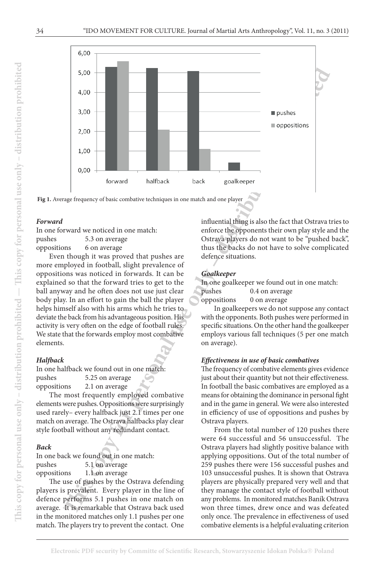

**Fig 1.** Average frequency of basic combative techniques in one match and one player

#### *Forward*

In one forward we noticed in one match: pushes 5.3 on average oppositions 6 on average

Even though it was proved that pushes are more employed in football, slight prevalence of oppositions was noticed in forwards. It can be explained so that the forward tries to get to the ball anyway and he often does not use just clear body play. In an effort to gain the ball the player helps himself also with his arms which he tries to deviate the back from his advantageous position. His activity is very often on the edge of football rules. We state that the forwards employ most combative elements.

#### *Halfb ack*

In one halfback we found out in one match: pushes 5.25 on average oppositions 2.1 on average

The most frequently employed combative elements were pushes. Oppositions were surprisingly used rarely- every halfback just 2.1 times per one match on average. The Ostrava halfbacks play clear style football without any redundant contact.

#### *Back*

In one back we found out in one match: pushes 5.1 on average oppositions 1.1 on average

The use of pushes by the Ostrava defending players is prevalent. Every player in the line of defence performs 5.1 pushes in one match on average. It is remarkable that Ostrava back used in the monitored matches only 1.1 pushes per one match. The players try to prevent the contact. One

influential thing is also the fact that Ostrava tries to enforce the opponents their own play style and the Ostrava players do not want to be "pushed back", thus the backs do not have to solve complicated defence situations.

#### *Goalkeeper*

In one goalkeeper we found out in one match:<br>pushes 0.4 on average

0.4 on average oppositions 0 on average

In goalkeepers we do not suppose any contact with the opponents. Both pushes were performed in specific situations. On the other hand the goalkeeper employs various fall techniques (5 per one match on average).

#### *Eff ectiveness in use of basic combatives*

The frequency of combative elements gives evidence just about their quantity but not their effectiveness. In football the basic combatives are employed as a means for obtaining the dominance in personal fight and in the game in general. We were also interested in efficiency of use of oppositions and pushes by Ostrava players.

From the total number of 120 pushes there were 64 successful and 56 unsuccessful. The Ostrava players had slightly positive balance with applying oppositions. Out of the total number of 259 pushes there were 156 successful pushes and 103 unsuccessful pushes. It is shown that Ostrava players are physically prepared very well and that they manage the contact style of football without any problems. In monitored matches Baník Ostrava won three times, drew once and was defeated only once. The prevalence in effectiveness of used<br>combative elements is a helpful evaluating criterion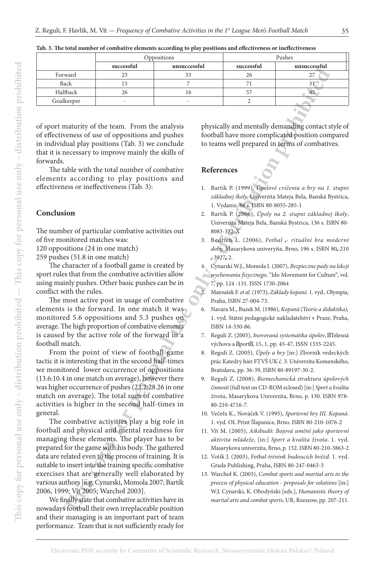|                                      |                                                                                                       | Oppositions    |                                             | Pushes                                                                                                                |
|--------------------------------------|-------------------------------------------------------------------------------------------------------|----------------|---------------------------------------------|-----------------------------------------------------------------------------------------------------------------------|
|                                      | successful                                                                                            | unsuccessful   | successful                                  | unsuccessful                                                                                                          |
| Forward                              | 23                                                                                                    | 33             | 26                                          | 27                                                                                                                    |
| Back                                 | 15                                                                                                    | 7              | 71                                          | 31 <sup>°</sup>                                                                                                       |
| Halfback                             | 26                                                                                                    | 16             | 57                                          | 45                                                                                                                    |
| Goalkeeper                           |                                                                                                       |                | 2                                           |                                                                                                                       |
|                                      |                                                                                                       |                |                                             |                                                                                                                       |
|                                      |                                                                                                       |                |                                             |                                                                                                                       |
|                                      | of sport maturity of the team. From the analysis<br>of effectiveness of use of oppositions and pushes |                |                                             | physically and mentally demanding contact style of                                                                    |
|                                      | in individual play positions (Tab. 3) we conclude                                                     |                |                                             | football have more complicated position compared<br>to teams well prepared in terms of combatives.                    |
|                                      | that it is necessary to improve mainly the skills of                                                  |                |                                             |                                                                                                                       |
| forwards.                            |                                                                                                       |                |                                             |                                                                                                                       |
|                                      | The table with the total number of combative                                                          | References     |                                             |                                                                                                                       |
|                                      | elements according to play positions and                                                              |                |                                             |                                                                                                                       |
|                                      | effectiveness or ineffectiveness (Tab. 3):                                                            |                |                                             | 1. Bartík P. (1999), Úpolové cvičenia a hry na 1. stupni                                                              |
|                                      |                                                                                                       |                |                                             | základnej školy, Univerzita Mateja Bela, Banská Bystrica,                                                             |
|                                      |                                                                                                       |                | 1. Vydanie, 88 s. ISBN 80-8055-285-1        |                                                                                                                       |
| Conclusion                           |                                                                                                       |                |                                             | 2. Bartík P. (2006), Úpoly na 2. stupni základnej školy,                                                              |
|                                      |                                                                                                       |                |                                             | Univerzita Mateja Bela, Banská Bystrica, 136 s. ISBN 80-                                                              |
|                                      | The number of particular combative activities out                                                     |                | 8083-332-X                                  |                                                                                                                       |
| of five monitored matches was:       |                                                                                                       |                |                                             | 3. Bedřich L. (2006), Fotbal - rituální hra moderní                                                                   |
| 120 oppositions (24 in one match)    |                                                                                                       |                |                                             | doby, Masarykova univeryita, Brno, 196 s. ISBN 80-210                                                                 |
| 259 pushes (51.8 in one match)       |                                                                                                       |                | $-3927 - 2.$                                |                                                                                                                       |
|                                      | The character of a football game is created by                                                        |                |                                             | 4. Cynarski W.J., Momola I. (2007), Bezpieczne pady na lekcji                                                         |
|                                      | sport rules that from the combative activities allow                                                  |                |                                             | wychowania fizycznego, "Ido Movement for Culture", vol.                                                               |
|                                      | using mainly pushes. Other basic pushes can be in                                                     |                | 7, pp. 124 -131. ISSN 1730-2064             |                                                                                                                       |
| conflict with the rules.             |                                                                                                       | 5 <sub>1</sub> |                                             | Matoušek F. et al. (1973), Základy kopané. 1. vyd., Olympia,                                                          |
|                                      | The most active post in usage of combative                                                            |                | Praha, ISBN 27-004-73.                      |                                                                                                                       |
|                                      | elements is the forward. In one match it was                                                          | 6.             |                                             | Navara M., Buzek M. (1986), Kopaná (Teorie a didaktika),                                                              |
|                                      | monitored 5.6 oppositions and 5.3 pushes on<br>average. The high proportion of combative elements     |                | ISBN 14-330-86.                             | 1. vyd. Státní pedagogické nakladatelství v Praze, Praha,                                                             |
|                                      | is caused by the active role of the forward in a                                                      |                |                                             | 7. Reguli Z. (2005), Inovovaná systematika úpolov, Telesná                                                            |
| football match.                      |                                                                                                       |                |                                             | výchova a port , 15, 1, pp. 45-47, ISSN 1335-2245.                                                                    |
|                                      | From the point of view of football game                                                               |                |                                             | 8. Reguli Z. (2005), Úpoly a hry [in:] Zborník vedeckých                                                              |
|                                      | tactic it is interesting that in the second half-times                                                |                |                                             | prác Katedry hier FTVŠ UK č. 3. Univerzita Komenského,                                                                |
|                                      | we monitored lower occurrence of oppositions                                                          |                | Bratislava, pp. 36-39, ISBN 80-89197-30-2.  |                                                                                                                       |
|                                      | (13.6:10.4 in one match on average), however there                                                    |                |                                             | 9. Reguli Z. (2008), Biomechanická struktura úpolových                                                                |
|                                      | was higher occurrence of pushes (23.2;28.26 in one                                                    |                |                                             | činností (full text on CD-ROM eclosed) [in:] Sport a kvalita                                                          |
|                                      | match on average). The total sum of combative                                                         |                |                                             | života, Masarykova Univerzita, Brno, p. 130. ISBN 978-                                                                |
|                                      | activities is higher in the second half-times in                                                      |                | 80-210-4716-7.                              |                                                                                                                       |
| general.                             |                                                                                                       |                |                                             | 10. Večeřa K., Nováček V. (1995), Sportovní hry III. Kopaná.                                                          |
|                                      | The combative activities play a big role in                                                           |                |                                             | 1. vyd. OL Print Šlapanice, Brno. ISBN 80-210-1076-2                                                                  |
|                                      | football and physical and mental readiness for                                                        |                |                                             | 11. Vít M. (2005), Aikibudó: Bojová umění jako sportovní                                                              |
|                                      | managing these elements. The player has to be                                                         |                |                                             | aktivita mládeže, [in:] Sport a kvalita života. 1. vyd.                                                               |
|                                      | prepared for the game with his body. The gathered                                                     |                |                                             | Masarykova univerzita, Brno, p. 152. ISBN 80-210-3863-2                                                               |
|                                      | data are related even to the process of training. It is                                               |                |                                             | 12. Votík J. (2003), Fotbal-trénink budoucích hvězd. 1. vyd.                                                          |
|                                      | suitable to insert into the training specific combative                                               |                | Grada Publishing, Praha, ISBN 80-247-0463-3 |                                                                                                                       |
|                                      | exercises that are generally well elaborated by                                                       |                |                                             | 13. Warchoł K. (2003), Combat sports and martial arts in the                                                          |
|                                      | various authors [e.g. Cynarski, Momola 2007; Bartík                                                   |                |                                             | process of physical education - proposals for solutions [in:]                                                         |
| 2006, 1999; Vít 2005; Warchoł 2003]. | We finally state that combative activities have in                                                    |                |                                             | W.J. Cynarski, K. Obodyński [eds.], Humanistic theory of<br>martial arts and combat sports, UR, Rzeszow, pp. 207-211. |
|                                      | nowadays football their own irreplaceable position                                                    |                |                                             |                                                                                                                       |
|                                      |                                                                                                       |                |                                             |                                                                                                                       |

**Tab. 3. The total number of combative elements according to play positions and effectiveness or ineffectiveness**

#### **Conclusion**

We finally state that combative activities have in nowadays football their own irreplaceable position and their managing is an important part of team performance. Team that is not sufficiently ready for

#### **References**

- 1. Bartík P. (1999), *Úpolové cvičenia a hry na 1. stupni základnej školy,* Univerzita Mateja Bela, Banská Bystrica, 1. Vydanie, 88 s. ISBN 80-8055-285-1
- 2. Bartík P. (2006), *Úpoly na 2. stupni základnej školy*, Univerzita Mateja Bela, Banská Bystrica, 136 s. ISBN 80- 8083-332-X
- 3. Bedřich L. (2006), *Fotbal rituální hra moderní doby,* Masarykova univeryita, Brno, 196 s. ISBN 80 -210 -3927 -2.
- 4. Cynarski W.J., Momola I. (2007), *Bezpieczne pady na lekcji wychowania fizycznego*, "Ido Movement for Culture", vol. 7, pp. 124 -131. ISSN 1730-2064
- 5. Matoušek F. *et al.* (1973), *Základy kopané.* 1. vyd., Olympia, Praha, ISBN 27-004-73.
- 6. Navara M., Buzek M. (1986), *Kopaná (Teorie a didaktika),*  1. vyd. Státní pedagogické nakladatelství v Praze, Praha, ISBN 14-330-86.
- 7. Reguli Z. (2005), *Inovovaná systematika úpolov*, Telesná výchova a port, 15, 1, pp. 45-47, ISSN 1335-2245.
- 8. Reguli Z. (2005), *Úpoly a hry* [in:] Zborník vedeckých prác Katedry hier FTVŠ UK č. 3. Univerzita Komenského, Bratislava, pp. 36-39, ISBN 80-89197-30-2.
- 9. Reguli Z. (2008), *Biomechanická struktura úpolových činností* (full text on CD-ROM eclosed) [in:] *Sport a kvalita života*, Masarykova Univerzita, Brno, p. 130. ISBN 978- 80-210-4716-7.
- 10. Večeřa K., Nováček V. (1995), *Sportovní hry III. Kopaná.*  1. vyd. OL Print Šlapanice, Brno. ISBN 80-210-1076-2
- 11. Vít M. (2005), *Aikibudó: Bojová umění jako sportovní aktivita mládeže*, [in:] *Sport a kvalita života*. 1. vyd. Masarykova univerzita, Brno, p. 152. ISBN 80-210-3863-2
- 12. Votík J. (2003), *Fotbal-trénink budoucích hvězd.* 1. vyd. Grada Publishing, Praha, ISBN 80-247-0463-3
- 13. Warchoł K. (2003), *Combat sports and martial arts in the process of physical education - proposals for solutions* [in:] W.J. Cynarski, K. Obodyński [eds.], *Humanistic theory of martial arts and combat sports*, UR, Rzeszow, pp. 207-211.